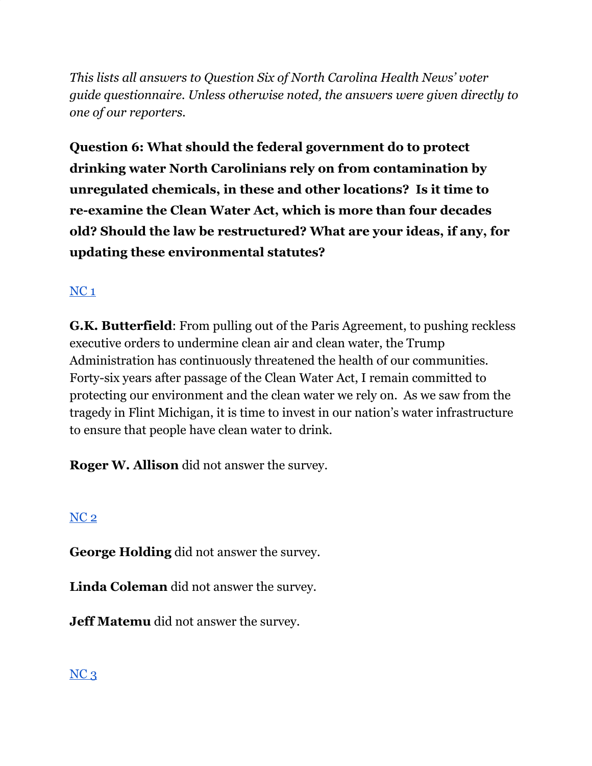*This lists all answers to Question Six of North Carolina Health News' voter guide questionnaire. Unless otherwise noted, the answers were given directly to one of our reporters.*

**Question 6: What should the federal government do to protect drinking water North Carolinians rely on from contamination by unregulated chemicals, in these and other locations? Is it time to re-examine the Clean Water Act, which is more than four decades old? Should the law be restructured? What are your ideas, if any, for updating these environmental statutes?**

## [NC](https://docs.google.com/document/d/1QKoGh33FjmS89YNY1wDfJ6fB9ikH0fC117WjizExMhc/edit?usp=sharing) 1

**G.K. Butterfield**: From pulling out of the Paris Agreement, to pushing reckless executive orders to undermine clean air and clean water, the Trump Administration has continuously threatened the health of our communities. Forty-six years after passage of the Clean Water Act, I remain committed to protecting our environment and the clean water we rely on. As we saw from the tragedy in Flint Michigan, it is time to invest in our nation's water infrastructure to ensure that people have clean water to drink.

**Roger W. Allison** did not answer the survey.

## [NC](https://docs.google.com/document/d/1QKoGh33FjmS89YNY1wDfJ6fB9ikH0fC117WjizExMhc/edit?usp=sharing) 2

**George Holding** did not answer the survey.

**Linda Coleman** did not answer the survey.

**Jeff Matemu** did not answer the survey.

### $NC<sub>3</sub>$  $NC<sub>3</sub>$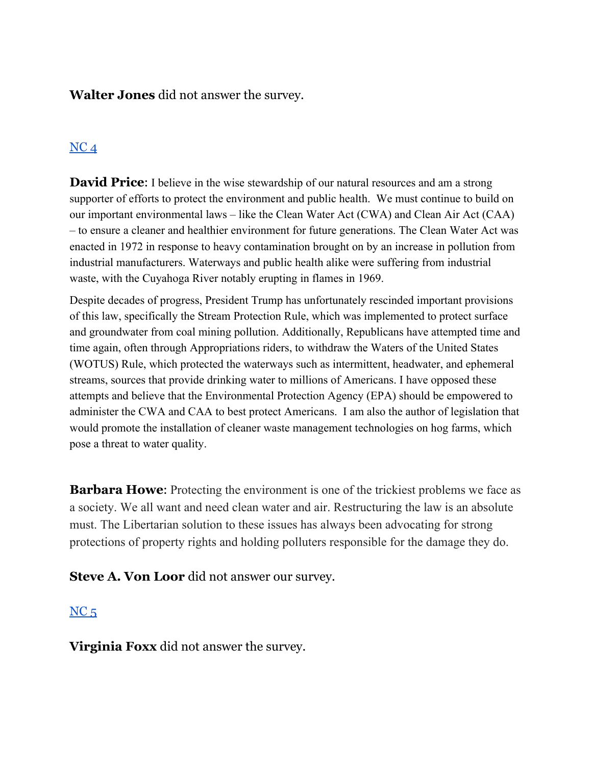**Walter Jones** did not answer the survey.

## $NC<sub>4</sub>$  $NC<sub>4</sub>$

**David Price:** I believe in the wise stewardship of our natural resources and am a strong supporter of efforts to protect the environment and public health. We must continue to build on our important environmental laws – like the Clean Water Act (CWA) and Clean Air Act (CAA) – to ensure a cleaner and healthier environment for future generations. The Clean Water Act was enacted in 1972 in response to heavy contamination brought on by an increase in pollution from industrial manufacturers. Waterways and public health alike were suffering from industrial waste, with the Cuyahoga River notably erupting in flames in 1969.

Despite decades of progress, President Trump has unfortunately rescinded important provisions of this law, specifically the Stream Protection Rule, which was implemented to protect surface and groundwater from coal mining pollution. Additionally, Republicans have attempted time and time again, often through Appropriations riders, to withdraw the Waters of the United States (WOTUS) Rule, which protected the waterways such as intermittent, headwater, and ephemeral streams, sources that provide drinking water to millions of Americans. I have opposed these attempts and believe that the Environmental Protection Agency (EPA) should be empowered to administer the CWA and CAA to best protect Americans. I am also the author of legislation that would promote the installation of cleaner waste management technologies on hog farms, which pose a threat to water quality.

**Barbara Howe**: Protecting the environment is one of the trickiest problems we face as a society. We all want and need clean water and air. Restructuring the law is an absolute must. The Libertarian solution to these issues has always been advocating for strong protections of property rights and holding polluters responsible for the damage they do.

**Steve A. Von Loor** did not answer our survey.

#### $NC<sub>5</sub>$  $NC<sub>5</sub>$

**Virginia Foxx** did not answer the survey.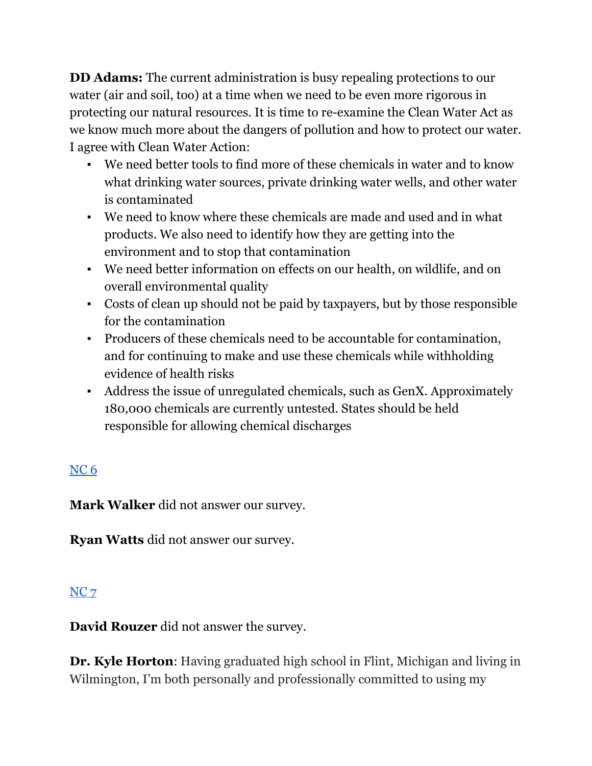**DD Adams:** The current administration is busy repealing protections to our water (air and soil, too) at a time when we need to be even more rigorous in protecting our natural resources. It is time to re-examine the Clean Water Act as we know much more about the dangers of pollution and how to protect our water. I agree with Clean Water Action:

- We need better tools to find more of these chemicals in water and to know what drinking water sources, private drinking water wells, and other water is contaminated
- We need to know where these chemicals are made and used and in what products. We also need to identify how they are getting into the environment and to stop that contamination
- We need better information on effects on our health, on wildlife, and on overall environmental quality
- Costs of clean up should not be paid by taxpayers, but by those responsible for the contamination
- Producers of these chemicals need to be accountable for contamination, and for continuing to make and use these chemicals while withholding evidence of health risks
- Address the issue of unregulated chemicals, such as GenX. Approximately 180,000 chemicals are currently untested. States should be held responsible for allowing chemical discharges

# [NC](https://docs.google.com/document/d/1cAsotr6xS9I-V4NP1ueB3T1dzRsHO07YN2hMv9b4xU0/edit?usp=sharing) 6

**Mark Walker** did not answer our survey.

**Ryan Watts** did not answer our survey.

## [NC](https://docs.google.com/document/d/1QKoGh33FjmS89YNY1wDfJ6fB9ikH0fC117WjizExMhc/edit?usp=sharing) 7

**David Rouzer** did not answer the survey.

**Dr. Kyle Horton**: Having graduated high school in Flint, Michigan and living in Wilmington, I'm both personally and professionally committed to using my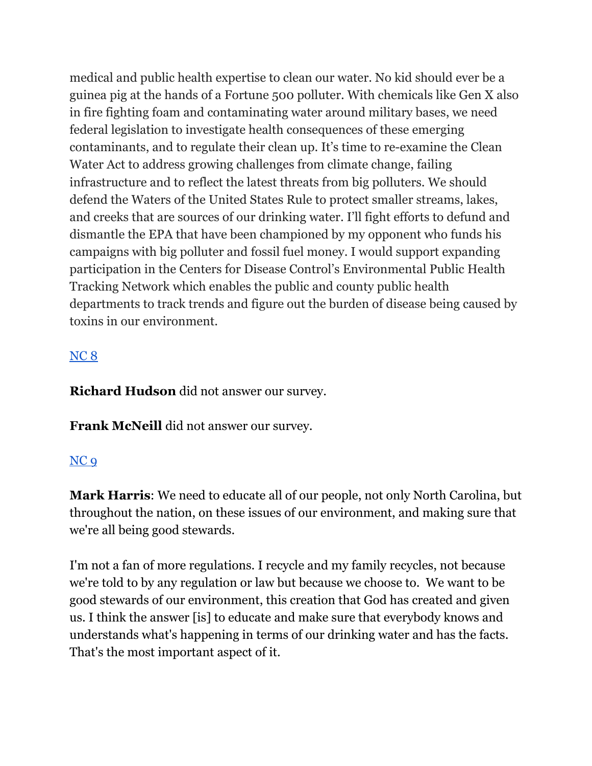medical and public health expertise to clean our water. No kid should ever be a guinea pig at the hands of a Fortune 500 polluter. With chemicals like Gen X also in fire fighting foam and contaminating water around military bases, we need federal legislation to investigate health consequences of these emerging contaminants, and to regulate their clean up. It's time to re-examine the Clean Water Act to address growing challenges from climate change, failing infrastructure and to reflect the latest threats from big polluters. We should defend the Waters of the United States Rule to protect smaller streams, lakes, and creeks that are sources of our drinking water. I'll fight efforts to defund and dismantle the EPA that have been championed by my opponent who funds his campaigns with big polluter and fossil fuel money. I would support expanding participation in the Centers for Disease Control's Environmental Public Health Tracking Network which enables the public and county public health departments to track trends and figure out the burden of disease being caused by toxins in our environment.

### [NC](https://docs.google.com/document/d/1cAsotr6xS9I-V4NP1ueB3T1dzRsHO07YN2hMv9b4xU0/edit?usp=sharing) 8

**Richard Hudson** did not answer our survey.

**Frank McNeill** did not answer our survey.

### [NC](https://docs.google.com/document/d/1cAsotr6xS9I-V4NP1ueB3T1dzRsHO07YN2hMv9b4xU0/edit?usp=sharing) 9

**Mark Harris**: We need to educate all of our people, not only North Carolina, but throughout the nation, on these issues of our environment, and making sure that we're all being good stewards.

I'm not a fan of more regulations. I recycle and my family recycles, not because we're told to by any regulation or law but because we choose to. We want to be good stewards of our environment, this creation that God has created and given us. I think the answer [is] to educate and make sure that everybody knows and understands what's happening in terms of our drinking water and has the facts. That's the most important aspect of it.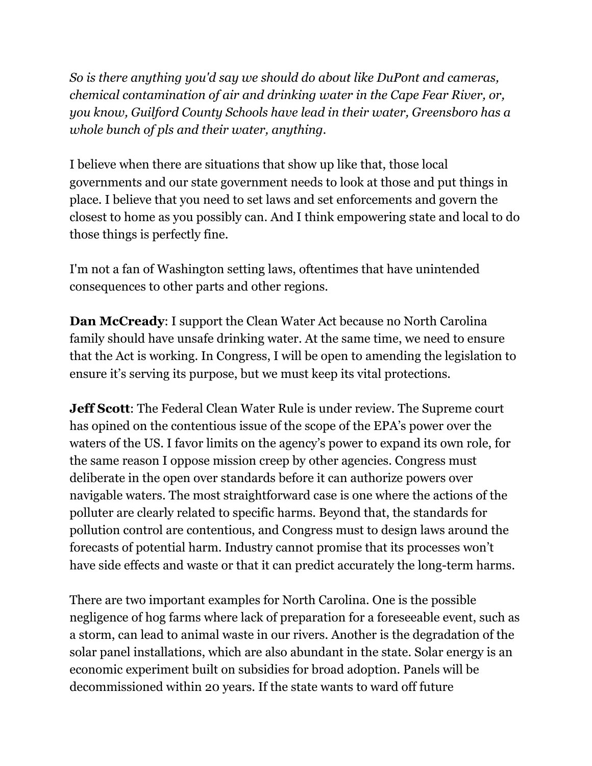*So is there anything you'd say we should do about like DuPont and cameras, chemical contamination of air and drinking water in the Cape Fear River, or, you know, Guilford County Schools have lead in their water, Greensboro has a whole bunch of pls and their water, anything.*

I believe when there are situations that show up like that, those local governments and our state government needs to look at those and put things in place. I believe that you need to set laws and set enforcements and govern the closest to home as you possibly can. And I think empowering state and local to do those things is perfectly fine.

I'm not a fan of Washington setting laws, oftentimes that have unintended consequences to other parts and other regions.

**Dan McCready**: I support the Clean Water Act because no North Carolina family should have unsafe drinking water. At the same time, we need to ensure that the Act is working. In Congress, I will be open to amending the legislation to ensure it's serving its purpose, but we must keep its vital protections.

**Jeff Scott**: The Federal Clean Water Rule is under review. The Supreme court has opined on the contentious issue of the scope of the EPA's power over the waters of the US. I favor limits on the agency's power to expand its own role, for the same reason I oppose mission creep by other agencies. Congress must deliberate in the open over standards before it can authorize powers over navigable waters. The most straightforward case is one where the actions of the polluter are clearly related to specific harms. Beyond that, the standards for pollution control are contentious, and Congress must to design laws around the forecasts of potential harm. Industry cannot promise that its processes won't have side effects and waste or that it can predict accurately the long-term harms.

There are two important examples for North Carolina. One is the possible negligence of hog farms where lack of preparation for a foreseeable event, such as a storm, can lead to animal waste in our rivers. Another is the degradation of the solar panel installations, which are also abundant in the state. Solar energy is an economic experiment built on subsidies for broad adoption. Panels will be decommissioned within 20 years. If the state wants to ward off future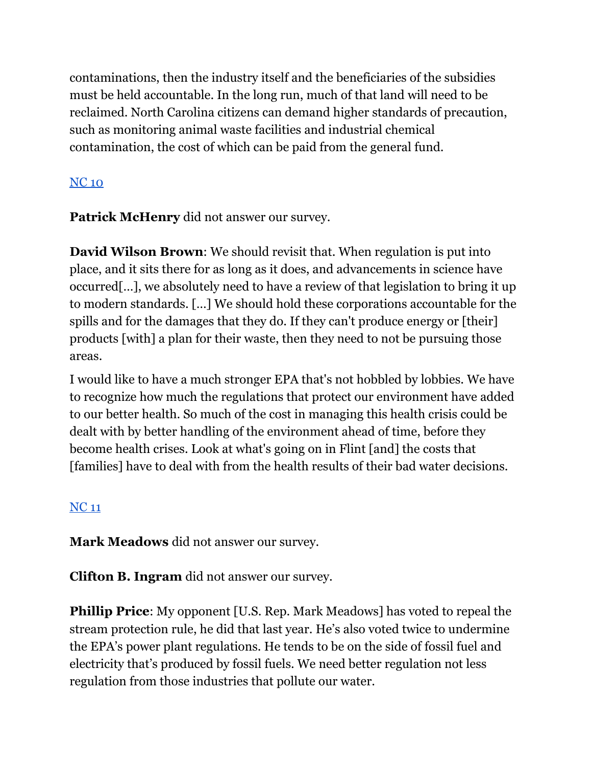contaminations, then the industry itself and the beneficiaries of the subsidies must be held accountable. In the long run, much of that land will need to be reclaimed. North Carolina citizens can demand higher standards of precaution, such as monitoring animal waste facilities and industrial chemical contamination, the cost of which can be paid from the general fund.

## [NC](https://docs.google.com/document/d/1EwcDTcuh6JGaw8mrxqMd1mif60VC1AoJttBCXQFIKtA/edit?usp=sharing) 10

**Patrick McHenry** did not answer our survey.

**David Wilson Brown**: We should revisit that. When regulation is put into place, and it sits there for as long as it does, and advancements in science have occurred[…], we absolutely need to have a review of that legislation to bring it up to modern standards. […] We should hold these corporations accountable for the spills and for the damages that they do. If they can't produce energy or [their] products [with] a plan for their waste, then they need to not be pursuing those areas.

I would like to have a much stronger EPA that's not hobbled by lobbies. We have to recognize how much the regulations that protect our environment have added to our better health. So much of the cost in managing this health crisis could be dealt with by better handling of the environment ahead of time, before they become health crises. Look at what's going on in Flint [and] the costs that [families] have to deal with from the health results of their bad water decisions.

### [NC](https://docs.google.com/document/d/1EwcDTcuh6JGaw8mrxqMd1mif60VC1AoJttBCXQFIKtA/edit?usp=sharing) 11

**Mark Meadows** did not answer our survey.

**Clifton B. Ingram** did not answer our survey.

**Phillip Price:** My opponent [U.S. Rep. Mark Meadows] has voted to repeal the stream protection rule, he did that last year. He's also voted twice to undermine the EPA's power plant regulations. He tends to be on the side of fossil fuel and electricity that's produced by fossil fuels. We need better regulation not less regulation from those industries that pollute our water.